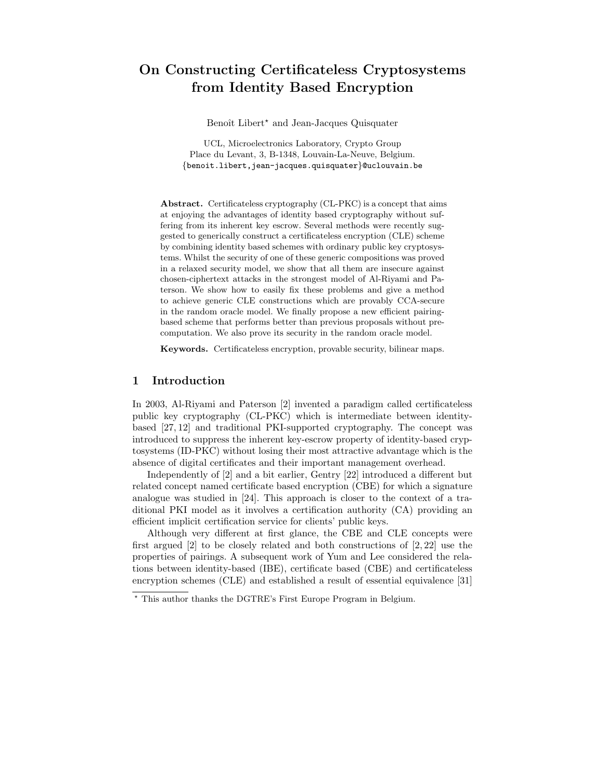# On Constructing Certificateless Cryptosystems from Identity Based Encryption

Benoît Libert<sup>\*</sup> and Jean-Jacques Quisquater

UCL, Microelectronics Laboratory, Crypto Group Place du Levant, 3, B-1348, Louvain-La-Neuve, Belgium. {benoit.libert,jean-jacques.quisquater}@uclouvain.be

Abstract. Certificateless cryptography (CL-PKC) is a concept that aims at enjoying the advantages of identity based cryptography without suffering from its inherent key escrow. Several methods were recently suggested to generically construct a certificateless encryption (CLE) scheme by combining identity based schemes with ordinary public key cryptosystems. Whilst the security of one of these generic compositions was proved in a relaxed security model, we show that all them are insecure against chosen-ciphertext attacks in the strongest model of Al-Riyami and Paterson. We show how to easily fix these problems and give a method to achieve generic CLE constructions which are provably CCA-secure in the random oracle model. We finally propose a new efficient pairingbased scheme that performs better than previous proposals without precomputation. We also prove its security in the random oracle model.

Keywords. Certificateless encryption, provable security, bilinear maps.

## 1 Introduction

In 2003, Al-Riyami and Paterson [2] invented a paradigm called certificateless public key cryptography (CL-PKC) which is intermediate between identitybased [27, 12] and traditional PKI-supported cryptography. The concept was introduced to suppress the inherent key-escrow property of identity-based cryptosystems (ID-PKC) without losing their most attractive advantage which is the absence of digital certificates and their important management overhead.

Independently of [2] and a bit earlier, Gentry [22] introduced a different but related concept named certificate based encryption (CBE) for which a signature analogue was studied in [24]. This approach is closer to the context of a traditional PKI model as it involves a certification authority (CA) providing an efficient implicit certification service for clients' public keys.

Although very different at first glance, the CBE and CLE concepts were first argued [2] to be closely related and both constructions of [2, 22] use the properties of pairings. A subsequent work of Yum and Lee considered the relations between identity-based (IBE), certificate based (CBE) and certificateless encryption schemes (CLE) and established a result of essential equivalence [31]

<sup>⋆</sup> This author thanks the DGTRE's First Europe Program in Belgium.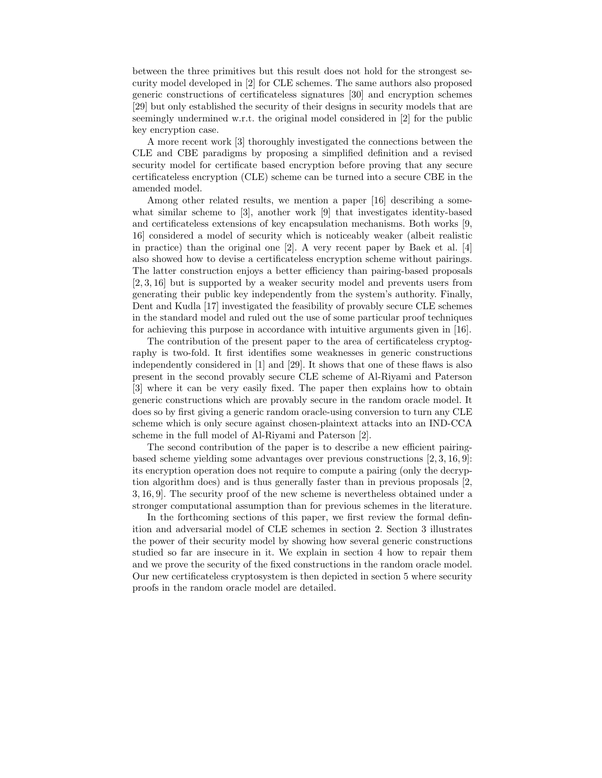between the three primitives but this result does not hold for the strongest security model developed in [2] for CLE schemes. The same authors also proposed generic constructions of certificateless signatures [30] and encryption schemes [29] but only established the security of their designs in security models that are seemingly undermined w.r.t. the original model considered in [2] for the public key encryption case.

A more recent work [3] thoroughly investigated the connections between the CLE and CBE paradigms by proposing a simplified definition and a revised security model for certificate based encryption before proving that any secure certificateless encryption (CLE) scheme can be turned into a secure CBE in the amended model.

Among other related results, we mention a paper [16] describing a somewhat similar scheme to [3], another work [9] that investigates identity-based and certificateless extensions of key encapsulation mechanisms. Both works [9, 16] considered a model of security which is noticeably weaker (albeit realistic in practice) than the original one [2]. A very recent paper by Baek et al. [4] also showed how to devise a certificateless encryption scheme without pairings. The latter construction enjoys a better efficiency than pairing-based proposals [2, 3, 16] but is supported by a weaker security model and prevents users from generating their public key independently from the system's authority. Finally, Dent and Kudla [17] investigated the feasibility of provably secure CLE schemes in the standard model and ruled out the use of some particular proof techniques for achieving this purpose in accordance with intuitive arguments given in [16].

The contribution of the present paper to the area of certificateless cryptography is two-fold. It first identifies some weaknesses in generic constructions independently considered in [1] and [29]. It shows that one of these flaws is also present in the second provably secure CLE scheme of Al-Riyami and Paterson [3] where it can be very easily fixed. The paper then explains how to obtain generic constructions which are provably secure in the random oracle model. It does so by first giving a generic random oracle-using conversion to turn any CLE scheme which is only secure against chosen-plaintext attacks into an IND-CCA scheme in the full model of Al-Riyami and Paterson [2].

The second contribution of the paper is to describe a new efficient pairingbased scheme yielding some advantages over previous constructions [2, 3, 16, 9]: its encryption operation does not require to compute a pairing (only the decryption algorithm does) and is thus generally faster than in previous proposals [2, 3, 16, 9]. The security proof of the new scheme is nevertheless obtained under a stronger computational assumption than for previous schemes in the literature.

In the forthcoming sections of this paper, we first review the formal definition and adversarial model of CLE schemes in section 2. Section 3 illustrates the power of their security model by showing how several generic constructions studied so far are insecure in it. We explain in section 4 how to repair them and we prove the security of the fixed constructions in the random oracle model. Our new certificateless cryptosystem is then depicted in section 5 where security proofs in the random oracle model are detailed.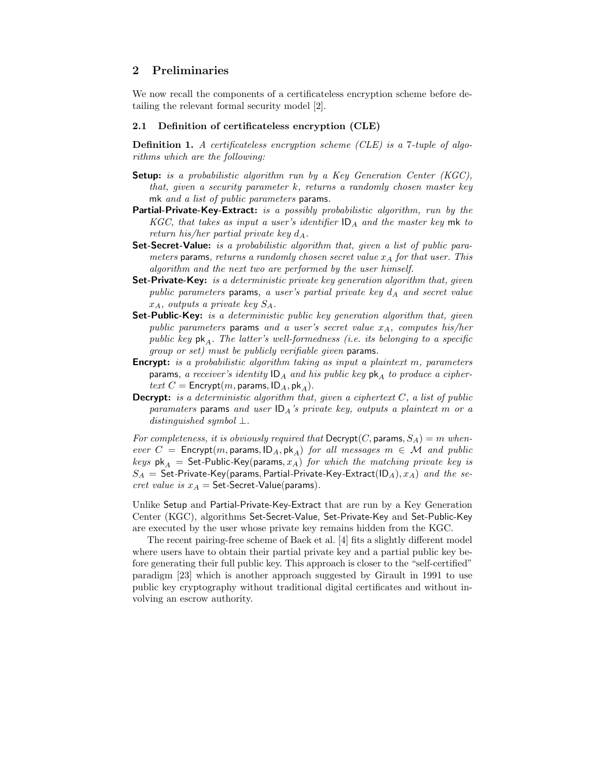## 2 Preliminaries

We now recall the components of a certificateless encryption scheme before detailing the relevant formal security model [2].

## 2.1 Definition of certificateless encryption (CLE)

Definition 1. A certificateless encryption scheme (CLE) is a 7-tuple of algorithms which are the following:

- Setup: is a probabilistic algorithm run by a Key Generation Center (KGC). that, given a security parameter k, returns a randomly chosen master key mk and a list of public parameters params.
- Partial-Private-Key-Extract: is a possibly probabilistic algorithm, run by the KGC, that takes as input a user's identifier  $ID<sub>A</sub>$  and the master key mk to return his/her partial private key  $d_A$ .
- Set-Secret-Value: is a probabilistic algorithm that, given a list of public parameters params, returns a randomly chosen secret value  $x_A$  for that user. This algorithm and the next two are performed by the user himself.
- Set-Private-Key: is a deterministic private key generation algorithm that, given public parameters params, a user's partial private key  $d_A$  and secret value  $x_A$ , outputs a private key  $S_A$ .
- **Set-Public-Key:** is a deterministic public key generation algorithm that, given public parameters params and a user's secret value  $x_A$ , computes his/her public key  $pk_A$ . The latter's well-formedness (i.e. its belonging to a specific group or set) must be publicly verifiable given params.
- **Encrypt:** is a probabilistic algorithm taking as input a plaintext m, parameters params, a receiver's identity  $ID_A$  and his public key  $pk_A$  to produce a ciphertext  $C =$  Encrypt $(m,$  params,  $ID_A$ , pk<sub>A</sub>).
- **Decrypt:** is a deterministic algorithm that, given a ciphertext  $C$ , a list of public paramaters params and user  $ID_A$ 's private key, outputs a plaintext m or a distinguished symbol  $\perp$ .

For completeness, it is obviously required that  $\mathsf{Decrypt}(C, \mathsf{params}, S_A) = m$  whenever  $C =$  Encrypt $(m,$  params,  $|D_A, pk_A|$  for all messages  $m \in \mathcal{M}$  and public keys  $pk_A$  = Set-Public-Key(params,  $x_A$ ) for which the matching private key is  $S_A$  = Set-Private-Key(params, Partial-Private-Key-Extract(ID<sub>A</sub>),  $x_A$ ) and the secret value is  $x_A =$  Set-Secret-Value(params).

Unlike Setup and Partial-Private-Key-Extract that are run by a Key Generation Center (KGC), algorithms Set-Secret-Value, Set-Private-Key and Set-Public-Key are executed by the user whose private key remains hidden from the KGC.

The recent pairing-free scheme of Baek et al. [4] fits a slightly different model where users have to obtain their partial private key and a partial public key before generating their full public key. This approach is closer to the "self-certified" paradigm [23] which is another approach suggested by Girault in 1991 to use public key cryptography without traditional digital certificates and without involving an escrow authority.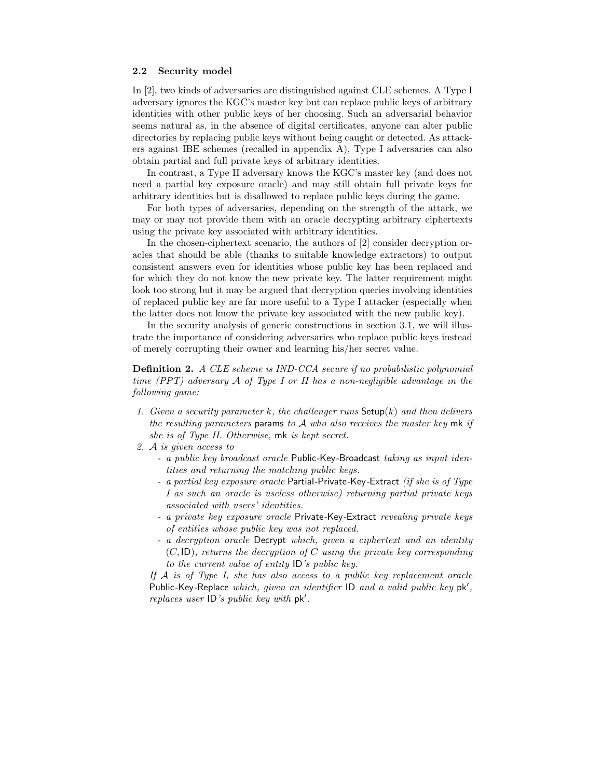## 2.2 Security model

In [2], two kinds of adversaries are distinguished against CLE schemes. A Type I adversary ignores the KGC's master key but can replace public keys of arbitrary identities with other public keys of her choosing. Such an adversarial behavior seems natural as, in the absence of digital certificates, anyone can alter public directories by replacing public keys without being caught or detected. As attackers against IBE schemes (recalled in appendix A), Type I adversaries can also obtain partial and full private keys of arbitrary identities.

In contrast, a Type II adversary knows the KGC's master key (and does not need a partial key exposure oracle) and may still obtain full private keys for arbitrary identities but is disallowed to replace public keys during the game.

For both types of adversaries, depending on the strength of the attack, we may or may not provide them with an oracle decrypting arbitrary ciphertexts using the private key associated with arbitrary identities.

In the chosen-ciphertext scenario, the authors of [2] consider decryption oracles that should be able (thanks to suitable knowledge extractors) to output consistent answers even for identities whose public key has been replaced and for which they do not know the new private key. The latter requirement might look too strong but it may be argued that decryption queries involving identities of replaced public key are far more useful to a Type I attacker (especially when the latter does not know the private key associated with the new public key).

In the security analysis of generic constructions in section 3.1, we will illustrate the importance of considering adversaries who replace public keys instead of merely corrupting their owner and learning his/her secret value.

**Definition 2.** A CLE scheme is IND-CCA secure if no probabilistic polynomial time (PPT) adversary A of Type I or II has a non-negligible advantage in the following game:

- 1. Given a security parameter k, the challenger runs  $\mathsf{Setup}(k)$  and then delivers the resulting parameters params to  $A$  who also receives the master key mk if she is of Type II. Otherwise, mk is kept secret.
- 2. A is given access to
	- a public key broadcast oracle Public-Key-Broadcast taking as input identities and returning the matching public keys.
	- a partial key exposure oracle Partial-Private-Key-Extract (if she is of Type I as such an oracle is useless otherwise) returning partial private keys associated with users' identities.
	- a private key exposure oracle Private-Key-Extract revealing private keys of entities whose public key was not replaced.
	- a decryption oracle Decrypt which, given a ciphertext and an identity  $(C, \mathsf{ID})$ , returns the decryption of C using the private key corresponding to the current value of entity ID's public key.

If  $A$  is of Type I, she has also access to a public key replacement oracle Public-Key-Replace which, given an identifier  $ID$  and a valid public key pk', replaces user ID's public key with pk′ .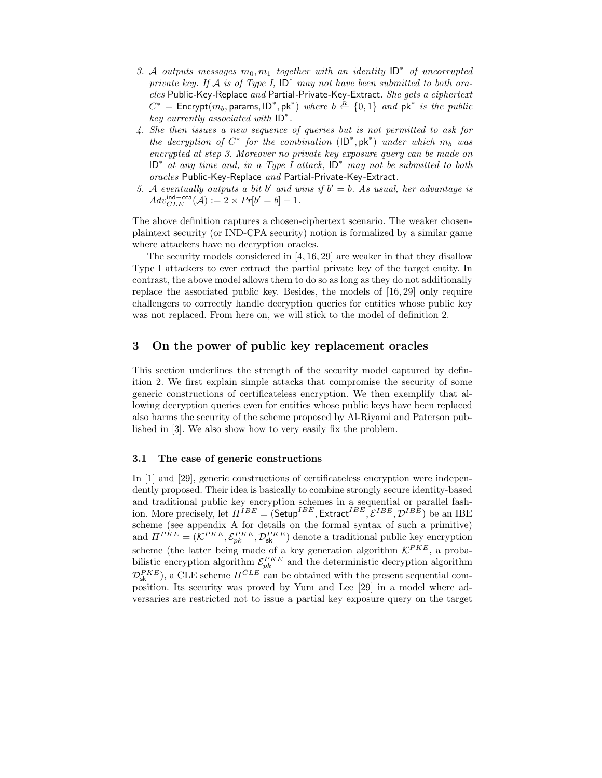- 3. A outputs messages  $m_0, m_1$  together with an identity  $ID^*$  of uncorrupted private key. If A is of Type I,  $ID^*$  may not have been submitted to both oracles Public-Key-Replace and Partial-Private-Key-Extract. She gets a ciphertext  $C^*$  = Encrypt $(m_b,$  params, ID<sup>\*</sup>, pk<sup>\*</sup>) where  $b \stackrel{R}{\leftarrow} \{0,1\}$  and  $pk^*$  is the public key currently associated with ID<sup>∗</sup> .
- 4. She then issues a new sequence of queries but is not permitted to ask for the decryption of  $C^*$  for the combination  $(\mathsf{ID}^*, \mathsf{pk}^*)$  under which  $m_b$  was encrypted at step 3. Moreover no private key exposure query can be made on ID<sup>∗</sup> at any time and, in a Type I attack, ID<sup>∗</sup> may not be submitted to both oracles Public-Key-Replace and Partial-Private-Key-Extract.
- 5. A eventually outputs a bit b' and wins if  $b' = b$ . As usual, her advantage is  $Adv_{CLE}^{\text{ind--cca}}(\mathcal{A}) := 2 \times Pr[b' = b] - 1.$

The above definition captures a chosen-ciphertext scenario. The weaker chosenplaintext security (or IND-CPA security) notion is formalized by a similar game where attackers have no decryption oracles.

The security models considered in [4, 16, 29] are weaker in that they disallow Type I attackers to ever extract the partial private key of the target entity. In contrast, the above model allows them to do so as long as they do not additionally replace the associated public key. Besides, the models of [16, 29] only require challengers to correctly handle decryption queries for entities whose public key was not replaced. From here on, we will stick to the model of definition 2.

## 3 On the power of public key replacement oracles

This section underlines the strength of the security model captured by definition 2. We first explain simple attacks that compromise the security of some generic constructions of certificateless encryption. We then exemplify that allowing decryption queries even for entities whose public keys have been replaced also harms the security of the scheme proposed by Al-Riyami and Paterson published in [3]. We also show how to very easily fix the problem.

#### 3.1 The case of generic constructions

In [1] and [29], generic constructions of certificateless encryption were independently proposed. Their idea is basically to combine strongly secure identity-based and traditional public key encryption schemes in a sequential or parallel fashion. More precisely, let  $\Pi^{IBE} = (\mathsf{Setup}^{IBE}, \mathsf{Extract}^{IBE}, \mathcal{E}^{IBE}, \mathcal{D}^{IBE})$  be an IBE scheme (see appendix A for details on the formal syntax of such a primitive) and  $\Pi^{PKE} = (\mathcal{K}^{PKE}, \mathcal{E}_{pk}^{PKE}, \mathcal{D}_{sk}^{PKE})$  denote a traditional public key encryption scheme (the latter being made of a key generation algorithm  $\mathcal{K}^{PKE}$ , a probabilistic encryption algorithm  $\mathcal{E}_{pk}^{PKE}$  and the deterministic decryption algorithm  $\mathcal{D}_{\mathsf{sk}}^{PKE}$ , a CLE scheme  $\Pi^{CLE}$  can be obtained with the present sequential composition. Its security was proved by Yum and Lee [29] in a model where adversaries are restricted not to issue a partial key exposure query on the target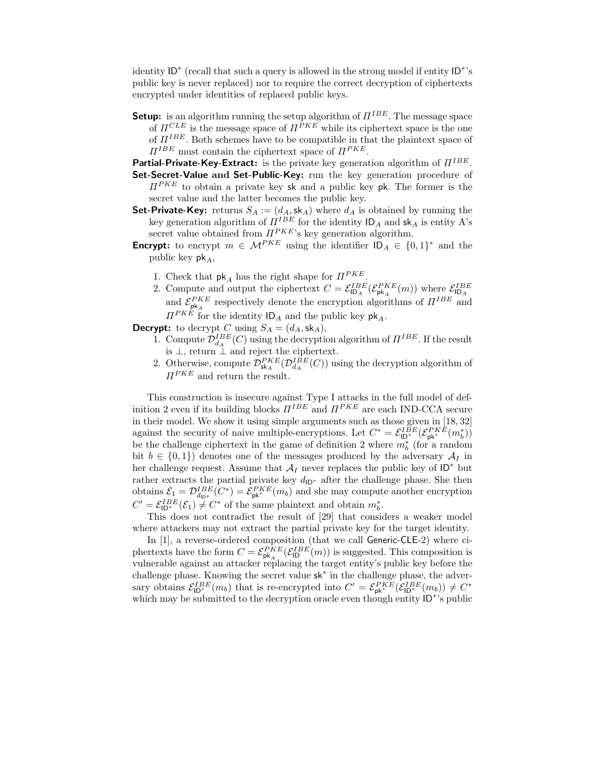identity ID<sup>∗</sup> (recall that such a query is allowed in the strong model if entity ID<sup>∗</sup> 's public key is never replaced) nor to require the correct decryption of ciphertexts encrypted under identities of replaced public keys.

**Setup:** is an algorithm running the setup algorithm of  $\Pi^{IBE}$ . The message space of  $\Pi^{CLE}$  is the message space of  $\Pi^{PKE}$  while its ciphertext space is the one of  $\Pi^{IBE}$ . Both schemes have to be compatible in that the plaintext space of  $\Pi^{IBE}$  must contain the ciphertext space of  $\Pi^{PKE}$ .

Partial-Private-Key-Extract: is the private key generation algorithm of  $\Pi^{IBE}$ .

- Set-Secret-Value and Set-Public-Key: run the key generation procedure of  $\Pi^{PKE}$  to obtain a private key sk and a public key pk. The former is the secret value and the latter becomes the public key.
- **Set-Private-Key:** returns  $S_A := (d_A, \mathsf{sk}_A)$  where  $d_A$  is obtained by running the key generation algorithm of  $\Pi^{IBE}$  for the identity  $\mathsf{ID}_A$  and  $\mathsf{sk}_A$  is entity A's secret value obtained from  $\Pi^{PKE}$ 's key generation algorithm.
- **Encrypt:** to encrypt  $m \in \mathcal{M}^{PKE}$  using the identifier  $ID_A \in \{0,1\}^*$  and the public key  $pk_A$ ,
	- 1. Check that  $\mathsf{pk}_A$  has the right shape for  $\Pi^{PKE}$ .
	- 2. Compute and output the ciphertext  $C = \mathcal{E}_{\mathsf{ID}_A}^{IBE}(\mathcal{E}_{\mathsf{pk}_A}^{PKE}(m))$  where  $\mathcal{E}_{\mathsf{ID}_A}^{IBE}$ and  $\mathcal{E}_{\mathsf{pk}_A}^{PKE}$  respectively denote the encryption algorithms of  $\Pi^{IBE}$  and  $\Pi^{PKE}$  for the identity  $ID_A$  and the public key  $pk_A$ .

**Decrypt:** to decrypt C using  $S_A = (d_A, \, \, \text{sk}_A),$ 

- 1. Compute  $\mathcal{D}_{dA}^{IBE}(C)$  using the decryption algorithm of  $\Pi^{IBE}$ . If the result is  $\perp$ , return  $\perp$  and reject the ciphertext.
- 2. Otherwise, compute  $\mathcal{D}_{\mathsf{sk}_A}^{PKE}(\mathcal{D}_{d_A}^{IBE}(C))$  using the decryption algorithm of  $\Pi^{PKE}$  and return the result.

This construction is insecure against Type I attacks in the full model of definition 2 even if its building blocks  $\Pi^{IBE}$  and  $\Pi^{PKE}$  are each IND-CCA secure in their model. We show it using simple arguments such as those given in [18, 32] against the security of naive multiple-encryptions. Let  $C^* = \mathcal{E}_{ID^*}^{IBE}(\mathcal{E}_{pk^*}^{PKE}(m_b^*))$ be the challenge ciphertext in the game of definition 2 where  $m_b^*$  (for a random bit  $b \in \{0,1\}$  denotes one of the messages produced by the adversary  $\mathcal{A}_I$  in her challenge request. Assume that  $\mathcal{A}_I$  never replaces the public key of  $ID^*$  but rather extracts the partial private key  $d_{\mathsf{ID}^*}$  after the challenge phase. She then obtains  $\mathcal{E}_1 = \mathcal{D}_{d_{\text{ID}^*}}^{IBE}(C^*) = \mathcal{E}_{\text{pk}^*}^{PKE}(m_b)$  and she may compute another encryption  $C' = \mathcal{E}_{\mathsf{ID}^*}^{IBE}(\mathcal{E}_1) \neq C^*$  of the same plaintext and obtain  $m_b^*$ .

This does not contradict the result of [29] that considers a weaker model where attackers may not extract the partial private key for the target identity.

In [1], a reverse-ordered composition (that we call Generic-CLE-2) where ciphertexts have the form  $C = \mathcal{E}_{\mathsf{pk}_A}^{PKE}(\mathcal{E}_{\mathsf{ID}}^{IBE}(m))$  is suggested. This composition is vulnerable against an attacker replacing the target entity's public key before the challenge phase. Knowing the secret value sk<sup>∗</sup> in the challenge phase, the adversary obtains  $\mathcal{E}_{\mathsf{ID}^*}^{IBE}(m_b)$  that is re-encrypted into  $C' = \mathcal{E}_{\mathsf{pk}^*}^{PKE}(\mathcal{E}_{\mathsf{ID}^*}^{IBE}(m_b)) \neq C^*$ which may be submitted to the decryption oracle even though entity  $\overrightarrow{ID^*}$ 's public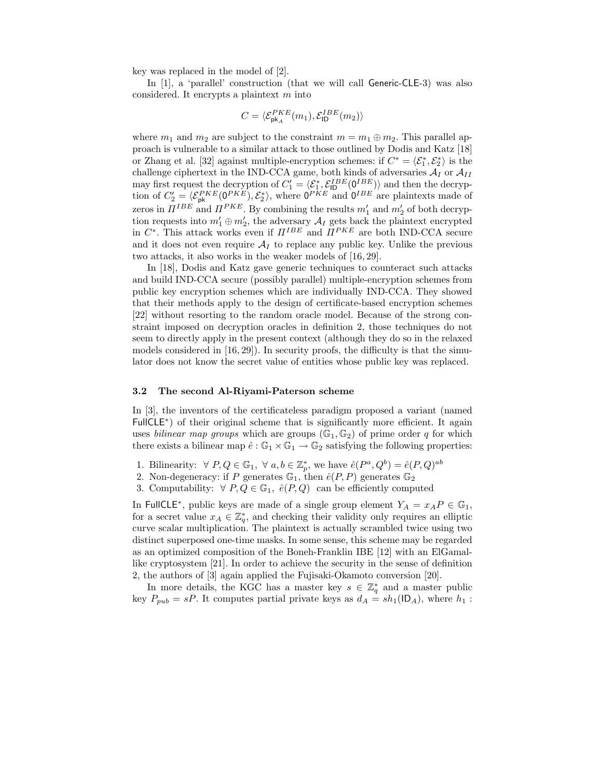key was replaced in the model of [2].

In [1], a 'parallel' construction (that we will call Generic-CLE-3) was also considered. It encrypts a plaintext  $m$  into

$$
C = \langle \mathcal{E}_{\mathsf{pk}_A}^{PKE}(m_1), \mathcal{E}_{\mathsf{ID}}^{IBE}(m_2) \rangle
$$

where  $m_1$  and  $m_2$  are subject to the constraint  $m = m_1 \oplus m_2$ . This parallel approach is vulnerable to a similar attack to those outlined by Dodis and Katz [18] or Zhang et al. [32] against multiple-encryption schemes: if  $C^* = \langle \mathcal{E}_1^*, \mathcal{E}_2^* \rangle$  is the challenge ciphertext in the IND-CCA game, both kinds of adversaries  $\mathcal{A}_I$  or  $\mathcal{A}_{II}$ may first request the decryption of  $C_1' = \langle \mathcal{E}_1^*, \mathcal{E}_{\text{ID}}^{IBE} (0_{\text{LDE}}^{IBE}) \rangle$  and then the decryption of  $C_2' = \langle \mathcal{E}_{\rm pk}^{PKE}(0^{PKE}), \mathcal{E}_2^* \rangle$ , where  $0^{PKE}$  and  $0^{IBE}$  are plaintexts made of zeros in  $\Pi^{IBE}$  and  $\Pi^{PKE}$ . By combining the results  $m'_1$  and  $m'_2$  of both decryption requests into  $m'_1 \oplus m'_2$ , the adversary  $\mathcal{A}_I$  gets back the plaintext encrypted in  $C^*$ . This attack works even if  $\Pi^{IBE}$  and  $\Pi^{PKE}$  are both IND-CCA secure and it does not even require  $A_I$  to replace any public key. Unlike the previous two attacks, it also works in the weaker models of [16, 29].

In [18], Dodis and Katz gave generic techniques to counteract such attacks and build IND-CCA secure (possibly parallel) multiple-encryption schemes from public key encryption schemes which are individually IND-CCA. They showed that their methods apply to the design of certificate-based encryption schemes [22] without resorting to the random oracle model. Because of the strong constraint imposed on decryption oracles in definition 2, those techniques do not seem to directly apply in the present context (although they do so in the relaxed models considered in [16, 29]). In security proofs, the difficulty is that the simulator does not know the secret value of entities whose public key was replaced.

#### 3.2 The second Al-Riyami-Paterson scheme

In [3], the inventors of the certificateless paradigm proposed a variant (named FullCLE<sup>\*</sup>) of their original scheme that is significantly more efficient. It again uses *bilinear map groups* which are groups  $(\mathbb{G}_1, \mathbb{G}_2)$  of prime order q for which there exists a bilinear map  $\hat{e}:\mathbb{G}_1\times\mathbb{G}_1\to\mathbb{G}_2$  satisfying the following properties:

- 1. Bilinearity:  $\forall P, Q \in \mathbb{G}_1, \forall a, b \in \mathbb{Z}_p^*$ , we have  $\hat{e}(P^a, Q^b) = \hat{e}(P, Q)^{ab}$
- 2. Non-degeneracy: if P generates  $\mathbb{G}_1$ , then  $\hat{e}(P, P)$  generates  $\mathbb{G}_2$
- 3. Computability:  $\forall P, Q \in \mathbb{G}_1$ ,  $\hat{e}(P, Q)$  can be efficiently computed

In FullCLE<sup>\*</sup>, public keys are made of a single group element  $Y_A = x_A P \in \mathbb{G}_1$ , for a secret value  $x_A \in \mathbb{Z}_q^*$ , and checking their validity only requires an elliptic curve scalar multiplication. The plaintext is actually scrambled twice using two distinct superposed one-time masks. In some sense, this scheme may be regarded as an optimized composition of the Boneh-Franklin IBE [12] with an ElGamallike cryptosystem [21]. In order to achieve the security in the sense of definition 2, the authors of [3] again applied the Fujisaki-Okamoto conversion [20].

In more details, the KGC has a master key  $s \in \mathbb{Z}_q^*$  and a master public key  $P_{pub} = sP$ . It computes partial private keys as  $d_A = sh_1(\mathsf{ID}_A)$ , where  $h_1$ :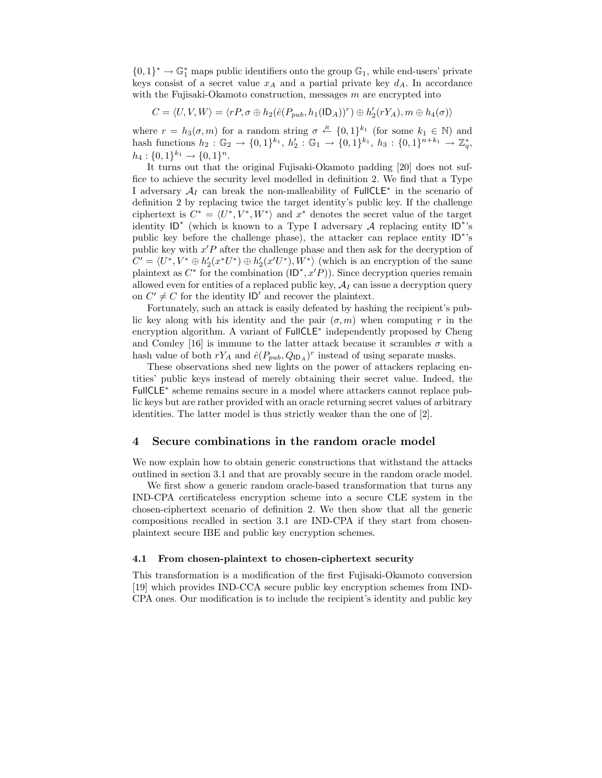${0,1}^*$  →  $\mathbb{G}_1^*$  maps public identifiers onto the group  $\mathbb{G}_1$ , while end-users' private keys consist of a secret value  $x_A$  and a partial private key  $d_A$ . In accordance with the Fujisaki-Okamoto construction, messages  $m$  are encrypted into

$$
C = \langle U, V, W \rangle = \langle rP, \sigma \oplus h_2(\hat{e}(P_{pub}, h_1(\mathsf{ID}_A))^r) \oplus h_2'(rY_A), m \oplus h_4(\sigma) \rangle
$$

where  $r = h_3(\sigma, m)$  for a random string  $\sigma \stackrel{R}{\leftarrow} \{0, 1\}^{k_1}$  (for some  $k_1 \in \mathbb{N}$ ) and hash functions  $h_2: \mathbb{G}_2 \to \{0,1\}^{k_1}, h'_2: \mathbb{G}_1 \to \{0,1\}^{k_1}, h_3: \{0,1\}^{n+k_1} \to \mathbb{Z}_q^*$  $h_4: \{0,1\}^{k_1} \rightarrow \{0,1\}^n.$ 

It turns out that the original Fujisaki-Okamoto padding [20] does not suffice to achieve the security level modelled in definition 2. We find that a Type I adversary  $A_I$  can break the non-malleability of FullCLE<sup>\*</sup> in the scenario of definition 2 by replacing twice the target identity's public key. If the challenge ciphertext is  $C^* = \langle U^*, V^*, W^* \rangle$  and  $x^*$  denotes the secret value of the target identity  $ID^*$  (which is known to a Type I adversary A replacing entity  $ID^*$ 's public key before the challenge phase), the attacker can replace entity ID<sup>\*</sup>'s public key with  $x'P$  after the challenge phase and then ask for the decryption of  $C' = \langle U^*, V^* \oplus h_2'(x^*U^*) \oplus h_2'(x'U^*), W^* \rangle$  (which is an encryption of the same plaintext as  $C^*$  for the combination  $(\text{ID}^*, x'P)$ ). Since decryption queries remain allowed even for entities of a replaced public key,  $A_I$  can issue a decryption query on  $C' \neq C$  for the identity  $\left| \mathsf{D}' \right|$  and recover the plaintext.

Fortunately, such an attack is easily defeated by hashing the recipient's public key along with his identity and the pair  $(\sigma, m)$  when computing r in the encryption algorithm. A variant of FullCLE<sup>∗</sup> independently proposed by Cheng and Comley [16] is immune to the latter attack because it scrambles  $\sigma$  with a hash value of both  $rY_A$  and  $\hat{e}(P_{pub}, Q_{\mathsf{ID}_A})^r$  instead of using separate masks.

These observations shed new lights on the power of attackers replacing entities' public keys instead of merely obtaining their secret value. Indeed, the FullCLE<sup>∗</sup> scheme remains secure in a model where attackers cannot replace public keys but are rather provided with an oracle returning secret values of arbitrary identities. The latter model is thus strictly weaker than the one of [2].

## 4 Secure combinations in the random oracle model

We now explain how to obtain generic constructions that withstand the attacks outlined in section 3.1 and that are provably secure in the random oracle model.

We first show a generic random oracle-based transformation that turns any IND-CPA certificateless encryption scheme into a secure CLE system in the chosen-ciphertext scenario of definition 2. We then show that all the generic compositions recalled in section 3.1 are IND-CPA if they start from chosenplaintext secure IBE and public key encryption schemes.

#### 4.1 From chosen-plaintext to chosen-ciphertext security

This transformation is a modification of the first Fujisaki-Okamoto conversion [19] which provides IND-CCA secure public key encryption schemes from IND-CPA ones. Our modification is to include the recipient's identity and public key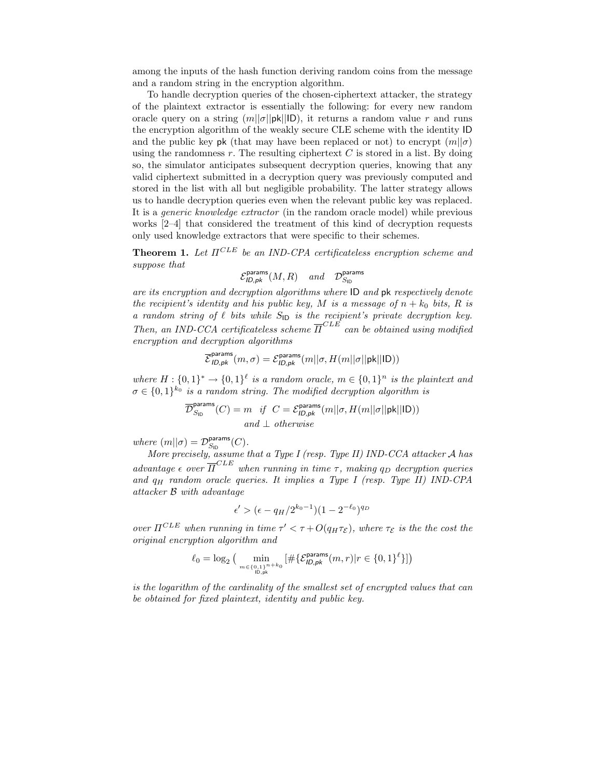among the inputs of the hash function deriving random coins from the message and a random string in the encryption algorithm.

To handle decryption queries of the chosen-ciphertext attacker, the strategy of the plaintext extractor is essentially the following: for every new random oracle query on a string  $(m||\sigma||p\mathbf{k}||\mathbf{D})$ , it returns a random value r and runs the encryption algorithm of the weakly secure CLE scheme with the identity ID and the public key pk (that may have been replaced or not) to encrypt  $(m||\sigma)$ using the randomness  $r$ . The resulting ciphertext  $C$  is stored in a list. By doing so, the simulator anticipates subsequent decryption queries, knowing that any valid ciphertext submitted in a decryption query was previously computed and stored in the list with all but negligible probability. The latter strategy allows us to handle decryption queries even when the relevant public key was replaced. It is a generic knowledge extractor (in the random oracle model) while previous works [2–4] that considered the treatment of this kind of decryption requests only used knowledge extractors that were specific to their schemes.

**Theorem 1.** Let  $\Pi^{CLE}$  be an IND-CPA certificateless encryption scheme and suppose that

$$
\mathcal{E}^{\text{params}}_{\text{ID}, \text{pk}}(M, R) \quad \text{and} \quad \mathcal{D}^{\text{params}}_{S_{\text{ID}}}
$$

are its encryption and decryption algorithms where ID and pk respectively denote the recipient's identity and his public key, M is a message of  $n + k_0$  bits, R is a random string of  $\ell$  bits while  $S_{\text{ID}}$  is the recipient's private decryption key. Then, an IND-CCA certificateless scheme  $\overline{\Pi}^{CLE}$  can be obtained using modified encryption and decryption algorithms

$$
\overline{\mathcal{E}}^{\text{params}}_{\text{ID}, \text{pk}}(m, \sigma) = \mathcal{E}^{\text{params}}_{\text{ID}, \text{pk}}(m || \sigma, H(m || \sigma || \text{pk} || \text{ID}))
$$

where  $H: \{0,1\}^* \to \{0,1\}^{\ell}$  is a random oracle,  $m \in \{0,1\}^n$  is the plaintext and  $\sigma \in \{0,1\}^{k_0}$  is a random string. The modified decryption algorithm is

$$
\overline{\mathcal{D}}_{S_{\text{ID}}}^{\text{params}}(C) = m \quad \text{if} \quad C = \mathcal{E}_{ID, pk}^{\text{params}}(m||\sigma, H(m||\sigma||\text{pk}||\text{ID}))
$$
\n
$$
and \perp otherwise
$$

where  $(m||\sigma) = \mathcal{D}_{S_{\text{ID}}}^{\text{params}}(C)$ .

More precisely, assume that a Type I (resp. Type II) IND-CCA attacker  ${\mathcal A}$  has advantage  $\epsilon$  over  $\overline{\Pi}^{CLE}$  when running in time  $\tau$ , making  $q_D$  decryption queries and  $q_H$  random oracle queries. It implies a Type I (resp. Type II) IND-CPA attacker B with advantage

$$
\epsilon' > (\epsilon - q_H/2^{k_0 - 1})(1 - 2^{-\ell_0})^{q_D}
$$

over  $\Pi^{CLE}$  when running in time  $\tau' < \tau + O(q_H \tau_{\mathcal{E}})$ , where  $\tau_{\mathcal{E}}$  is the the cost the original encryption algorithm and

$$
\ell_0=\log_2\big(\min\limits_{m\in\{0,1\}^{n+k_0\atop{|D|, \mathrm{pk}}}\big[\#\{\mathcal{E}^{\mathsf{params}}_{\mathsf{ID},\mathsf{pk}}(m,r)|r\in\{0,1\}^\ell\}\big]\big)
$$

is the logarithm of the cardinality of the smallest set of encrypted values that can be obtained for fixed plaintext, identity and public key.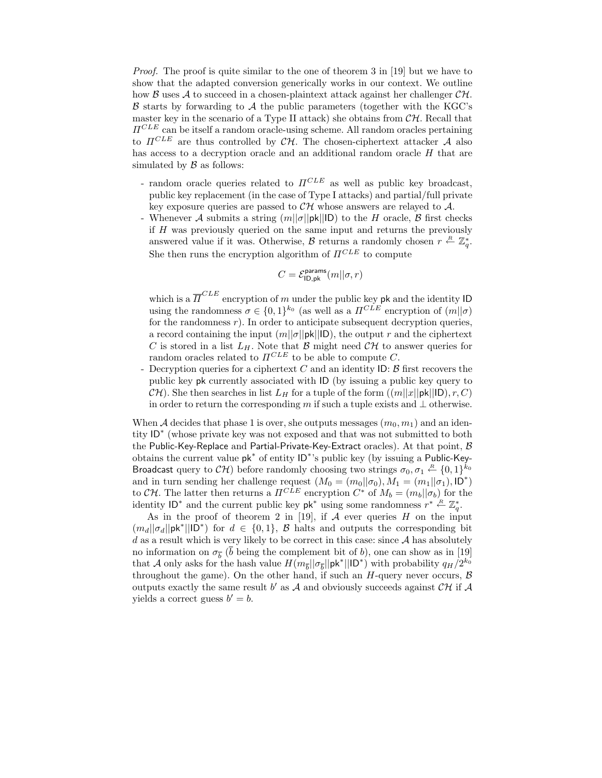Proof. The proof is quite similar to the one of theorem 3 in [19] but we have to show that the adapted conversion generically works in our context. We outline how B uses A to succeed in a chosen-plaintext attack against her challenger  $\mathcal{CH}$ .  $\beta$  starts by forwarding to  $\mathcal A$  the public parameters (together with the KGC's master key in the scenario of a Type II attack) she obtains from  $\mathcal{CH}$ . Recall that  $\Pi^{CLE}$  can be itself a random oracle-using scheme. All random oracles pertaining to  $\Pi^{CLE}$  are thus controlled by  $\mathcal{CH}$ . The chosen-ciphertext attacker A also has access to a decryption oracle and an additional random oracle  $H$  that are simulated by  $\beta$  as follows:

- random oracle queries related to  $\Pi^{CLE}$  as well as public key broadcast, public key replacement (in the case of Type I attacks) and partial/full private key exposure queries are passed to  $\mathcal{CH}$  whose answers are relayed to  $\mathcal{A}$ .
- Whenever A submits a string  $(m||\sigma||p\mathbf{k}||\mathbf{D})$  to the H oracle, B first checks if H was previously queried on the same input and returns the previously answered value if it was. Otherwise, B returns a randomly chosen  $r \stackrel{R}{\leftarrow} \mathbb{Z}_q^*$ . She then runs the encryption algorithm of  $\Pi^{CLE}$  to compute

$$
C = \mathcal{E}^{\mathsf{params}}_{\mathsf{ID}, \mathsf{pk}}(m || \sigma, r)
$$

which is a  $\overline{\Pi}^{CLE}$  encryption of m under the public key pk and the identity ID using the randomness  $\sigma \in \{0,1\}^{k_0}$  (as well as a  $\Pi^{CLE}$  encryption of  $(m||\sigma)$ for the randomness  $r$ ). In order to anticipate subsequent decryption queries, a record containing the input  $(m||\sigma||p\mathbf{k}||\mathbf{D})$ , the output r and the ciphertext C is stored in a list  $L_H$ . Note that  $\beta$  might need  $\mathcal{CH}$  to answer queries for random oracles related to  $\Pi^{CLE}$  to be able to compute C.

- Decryption queries for a ciphertext  $C$  and an identity ID:  $\beta$  first recovers the public key pk currently associated with ID (by issuing a public key query to  $CH$ ). She then searches in list  $L_H$  for a tuple of the form  $((m||x||pk||ID), r, C)$ in order to return the corresponding m if such a tuple exists and  $\perp$  otherwise.

When A decides that phase 1 is over, she outputs messages  $(m_0, m_1)$  and an identity ID<sup>∗</sup> (whose private key was not exposed and that was not submitted to both the Public-Key-Replace and Partial-Private-Key-Extract oracles). At that point,  $\beta$ obtains the current value pk<sup>∗</sup> of entity ID<sup>∗</sup> 's public key (by issuing a Public-Key-Broadcast query to  $\mathcal{CH})$  before randomly choosing two strings  $\sigma_0, \sigma_1 \stackrel{R}{\leftarrow} \{0,1\}^{k_0}$ and in turn sending her challenge request  $(M_0 = (m_0 || \sigma_0), M_1 = (m_1 || \sigma_1), D^*)$ to CH. The latter then returns a  $\Pi^{CLE}$  encryption  $C^*$  of  $M_b = (m_b || \sigma_b)$  for the identity ID<sup>\*</sup> and the current public key  $pk^*$  using some randomness  $r^* \stackrel{R}{\leftarrow} \mathbb{Z}_q^*$ .

As in the proof of theorem 2 in [19], if  $A$  ever queries  $H$  on the input  $(m_d || \sigma_d || \mathbf{p}\mathbf{k}^* || \mathbf{D}^*)$  for  $d \in \{0,1\}$ ,  $\mathcal{B}$  halts and outputs the corresponding bit  $d$  as a result which is very likely to be correct in this case: since  $A$  has absolutely no information on  $\sigma_{\overline{b}}$  (b being the complement bit of b), one can show as in [19] that A only asks for the hash value  $H(m_{\overline{b}}||\sigma_{\overline{b}}||\mathsf{pk}^*||\mathsf{ID}^*)$  with probability  $q_H/2^{k_0}$ throughout the game). On the other hand, if such an  $H$ -query never occurs,  $\beta$ outputs exactly the same result  $b'$  as  $A$  and obviously succeeds against  $\mathcal{CH}$  if  $A$ yields a correct guess  $b' = b$ .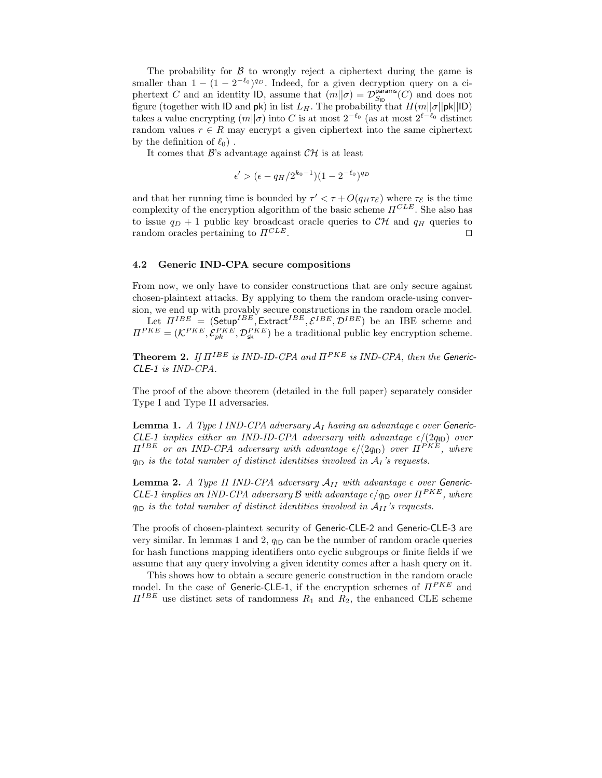The probability for  $\beta$  to wrongly reject a ciphertext during the game is smaller than  $1 - (1 - 2^{-\ell_0})^{q_D}$ . Indeed, for a given decryption query on a ciphertext C and an identity ID, assume that  $(m||\sigma) = \mathcal{D}_{S_{\text{ID}}}^{\text{params}}(C)$  and does not figure (together with ID and  $\mathsf{pk}$ ) in list  $L_H$ . The probability that  $H(m||\sigma||\mathsf{pk}||\mathsf{ID})$ takes a value encrypting  $(m||\sigma)$  into C is at most  $2^{-\ell_0}$  (as at most  $2^{\ell-\ell_0}$  distinct random values  $r \in R$  may encrypt a given ciphertext into the same ciphertext by the definition of  $\ell_0$ ).

It comes that  $\mathcal{B}$ 's advantage against  $\mathcal{CH}$  is at least

$$
\epsilon' > (\epsilon - q_H/2^{k_0 - 1})(1 - 2^{-\ell_0})^{q_D}
$$

and that her running time is bounded by  $\tau' < \tau + O(q_H \tau_{\mathcal{E}})$  where  $\tau_{\mathcal{E}}$  is the time complexity of the encryption algorithm of the basic scheme  $\Pi^{CLE}$ . She also has to issue  $q_D + 1$  public key broadcast oracle queries to  $\mathcal{CH}$  and  $q_H$  queries to random oracles pertaining to  $\Pi^{CLE}$ . □

#### 4.2 Generic IND-CPA secure compositions

From now, we only have to consider constructions that are only secure against chosen-plaintext attacks. By applying to them the random oracle-using conversion, we end up with provably secure constructions in the random oracle model. Let  $\Pi^{IBE}$  = (Setup<sup>IBE</sup>, Extract<sup>IBE</sup>,  $\mathcal{E}^{IBE}, \mathcal{D}^{IBE})$  be an IBE scheme and  $\Pi^{PKE} = (\mathcal{K}^{PKE}, \mathcal{E}_{pk}^{PKE}, \mathcal{D}_{sk}^{PKE})$  be a traditional public key encryption scheme.

**Theorem 2.** If  $\Pi^{IBE}$  is IND-ID-CPA and  $\Pi^{PKE}$  is IND-CPA, then the Generic-CLE-1 is IND-CPA.

The proof of the above theorem (detailed in the full paper) separately consider Type I and Type II adversaries.

**Lemma 1.** A Type I IND-CPA adversary  $A_I$  having an advantage  $\epsilon$  over Generic-CLE-1 implies either an IND-ID-CPA adversary with advantage  $\epsilon/(2q_{\text{ID}})$  over  $\Pi^{IBE}$  or an IND-CPA adversary with advantage  $\epsilon/(2q_{\text{ID}})$  over  $\Pi^{PKE}$ , where  $q_{\text{ID}}$  is the total number of distinct identities involved in  $A_I$ 's requests.

**Lemma 2.** A Type II IND-CPA adversary  $A_{II}$  with advantage  $\epsilon$  over Generic-**CLE-1** implies an IND-CPA adversary  $\mathcal{B}$  with advantage  $\epsilon/q_{\text{ID}}$  over  $\Pi^{PKE}$ , where  $q_{\text{ID}}$  is the total number of distinct identities involved in  $A_{II}$ 's requests.

The proofs of chosen-plaintext security of Generic-CLE-2 and Generic-CLE-3 are very similar. In lemmas 1 and 2,  $q_{\text{ID}}$  can be the number of random oracle queries for hash functions mapping identifiers onto cyclic subgroups or finite fields if we assume that any query involving a given identity comes after a hash query on it.

This shows how to obtain a secure generic construction in the random oracle model. In the case of Generic-CLE-1, if the encryption schemes of  $\Pi^{PKE}$  and  $\Pi^{IBE}$  use distinct sets of randomness  $R_1$  and  $R_2$ , the enhanced CLE scheme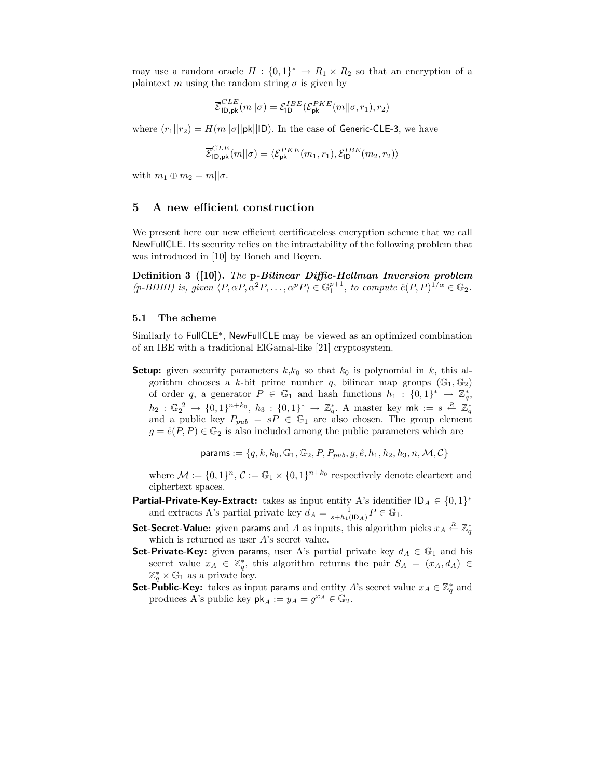may use a random oracle  $H: \{0,1\}^* \to R_1 \times R_2$  so that an encryption of a plaintext m using the random string  $\sigma$  is given by

$$
\overline{\mathcal{E}}_{\mathsf{ID},\mathsf{pk}}^{CLE}(m||\sigma) = \mathcal{E}_{\mathsf{ID}}^{IBE}(\mathcal{E}_{\mathsf{pk}}^{PKE}(m||\sigma,r_1),r_2)
$$

where  $(r_1||r_2) = H(m||\sigma||p\kappa||D)$ . In the case of Generic-CLE-3, we have

$$
\overline{\mathcal{E}}^{CLE}_{\mathsf{ID},\mathsf{pk}}(m||\sigma)=\langle\mathcal{E}_{\mathsf{pk}}^{PKE}(m_1,r_1),\mathcal{E}_{\mathsf{ID}}^{IBE}(m_2,r_2)\rangle
$$

with  $m_1 \oplus m_2 = m||\sigma$ .

## 5 A new efficient construction

We present here our new efficient certificateless encryption scheme that we call NewFullCLE. Its security relies on the intractability of the following problem that was introduced in [10] by Boneh and Boyen.

Definition 3 ([10]). The p-Bilinear Diffie-Hellman Inversion problem  $(p-BDHI)$  is, given  $\langle P, \alpha P, \alpha^2 P, \ldots, \alpha^p P \rangle \in \mathbb{G}_1^{p+1}$ , to compute  $\hat{e}(P, P)^{1/\alpha} \in \mathbb{G}_2$ .

#### 5.1 The scheme

Similarly to FullCLE<sup>∗</sup> , NewFullCLE may be viewed as an optimized combination of an IBE with a traditional ElGamal-like [21] cryptosystem.

**Setup:** given security parameters  $k, k_0$  so that  $k_0$  is polynomial in k, this algorithm chooses a k-bit prime number q, bilinear map groups  $(\mathbb{G}_1, \mathbb{G}_2)$ of order q, a generator  $P \in \mathbb{G}_1$  and hash functions  $h_1 : \{0,1\}^* \to \mathbb{Z}_q^*$ ,  $h_2: \mathbb{G}_2^2 \to \{0,1\}^{n+k_0}, h_3: \{0,1\}^* \to \mathbb{Z}_q^*$ . A master key mk :=  $s \stackrel{R}{\leftarrow} \mathbb{Z}_q^*$  and a public key  $P_{pub} = sP \in \mathbb{G}_1$  are also chosen. The group element  $g = \hat{e}(P, P) \in \mathbb{G}_2$  is also included among the public parameters which are

params :=  $\{q, k, k_0, \mathbb{G}_1, \mathbb{G}_2, P, P_{sub}, q, \hat{e}, h_1, h_2, h_3, n, \mathcal{M}, \mathcal{C}\}\$ 

where  $\mathcal{M} := \{0, 1\}^n$ ,  $\mathcal{C} := \mathbb{G}_1 \times \{0, 1\}^{n+k_0}$  respectively denote cleartext and ciphertext spaces.

- **Partial-Private-Key-Extract:** takes as input entity A's identifier  $ID_A \in \{0, 1\}^*$ and extracts A's partial private key  $d_A = \frac{1}{s + h_1(\mathsf{ID}_A)} P \in \mathbb{G}_1$ .
- Set-Secret-Value: given params and A as inputs, this algorithm picks  $x_A \stackrel{R}{\leftarrow} \mathbb{Z}_q^*$ which is returned as user  $A$ 's secret value.
- **Set-Private-Key:** given params, user A's partial private key  $d_A \in \mathbb{G}_1$  and his secret value  $x_A \in \mathbb{Z}_q^*$ , this algorithm returns the pair  $S_A = (x_A, d_A) \in$  $\mathbb{Z}_q^* \times \mathbb{G}_1$  as a private key.
- **Set-Public-Key:** takes as input params and entity A's secret value  $x_A \in \mathbb{Z}_q^*$  and produces A's public key  $\mathsf{pk}_A := y_A = g^{x_A} \in \mathbb{G}_2$ .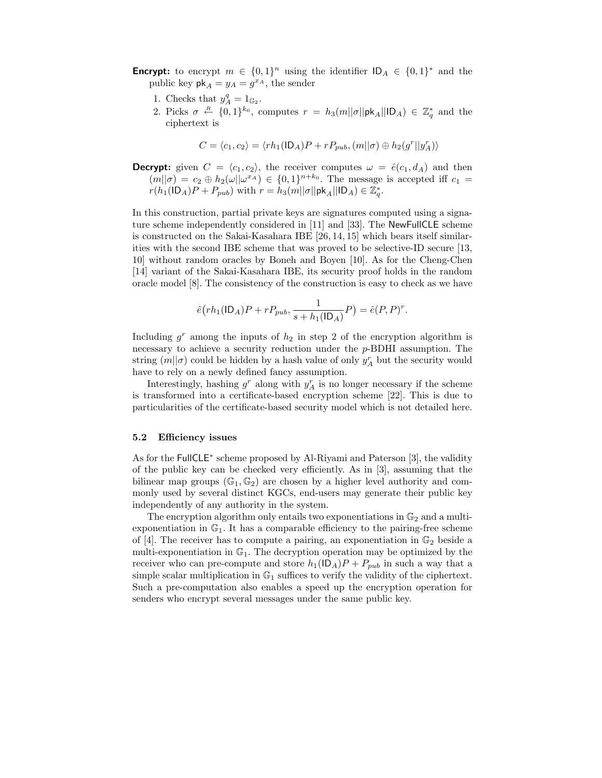- **Encrypt:** to encrypt  $m \in \{0,1\}^n$  using the identifier  $ID_A \in \{0,1\}^*$  and the public key  $\mathsf{pk}_A = y_A = g^{x_A}$ , the sender
	- 1. Checks that  $y_A^q = 1_{\mathbb{G}_2}$ .
	- 2. Picks  $\sigma \stackrel{R}{\leftarrow} \{0,1\}^{k_0}$ , computes  $r = h_3(m||\sigma||\mathsf{pk}_A||\mathsf{ID}_A) \in \mathbb{Z}_q^*$  and the ciphertext is

$$
C = \langle c_1, c_2 \rangle = \langle rh_1(\mathsf{ID}_A)P + rP_{pub}, (m||\sigma) \oplus h_2(g^r||y_A^r) \rangle
$$

**Decrypt:** given  $C = \langle c_1, c_2 \rangle$ , the receiver computes  $\omega = \hat{e}(c_1, d_A)$  and then  $(m||\sigma) = c_2 \oplus h_2(\omega||\omega^{x_A}) \in \{0,1\}^{n+k_0}$ . The message is accepted iff  $c_1 =$  $r(h_1(\mathsf{ID}_A)P + P_{pub})$  with  $r = h_3(m||\sigma||\mathsf{pk}_A||\mathsf{ID}_A) \in \mathbb{Z}_q^*$ .

In this construction, partial private keys are signatures computed using a signature scheme independently considered in [11] and [33]. The NewFullCLE scheme is constructed on the Sakai-Kasahara IBE [26, 14, 15] which bears itself similarities with the second IBE scheme that was proved to be selective-ID secure [13, 10] without random oracles by Boneh and Boyen [10]. As for the Cheng-Chen [14] variant of the Sakai-Kasahara IBE, its security proof holds in the random oracle model [8]. The consistency of the construction is easy to check as we have

$$
\hat{e}(rh_1(\mathsf{ID}_A)P + rP_{pub}, \frac{1}{s + h_1(\mathsf{ID}_A)}P) = \hat{e}(P, P)^r.
$$

Including  $g^r$  among the inputs of  $h_2$  in step 2 of the encryption algorithm is necessary to achieve a security reduction under the p-BDHI assumption. The string  $(m||\sigma)$  could be hidden by a hash value of only  $y_A^r$  but the security would have to rely on a newly defined fancy assumption.

Interestingly, hashing  $g^r$  along with  $y_A^r$  is no longer necessary if the scheme is transformed into a certificate-based encryption scheme [22]. This is due to particularities of the certificate-based security model which is not detailed here.

#### 5.2 Efficiency issues

As for the FullCLE<sup>\*</sup> scheme proposed by Al-Riyami and Paterson [3], the validity of the public key can be checked very efficiently. As in [3], assuming that the bilinear map groups  $(\mathbb{G}_1, \mathbb{G}_2)$  are chosen by a higher level authority and commonly used by several distinct KGCs, end-users may generate their public key independently of any authority in the system.

The encryption algorithm only entails two exponentiations in  $\mathbb{G}_2$  and a multiexponentiation in  $\mathbb{G}_1$ . It has a comparable efficiency to the pairing-free scheme of [4]. The receiver has to compute a pairing, an exponentiation in  $\mathbb{G}_2$  beside a multi-exponentiation in  $\mathbb{G}_1$ . The decryption operation may be optimized by the receiver who can pre-compute and store  $h_1(|D_A|)P + P_{pub}$  in such a way that a simple scalar multiplication in  $\mathbb{G}_1$  suffices to verify the validity of the ciphertext. Such a pre-computation also enables a speed up the encryption operation for senders who encrypt several messages under the same public key.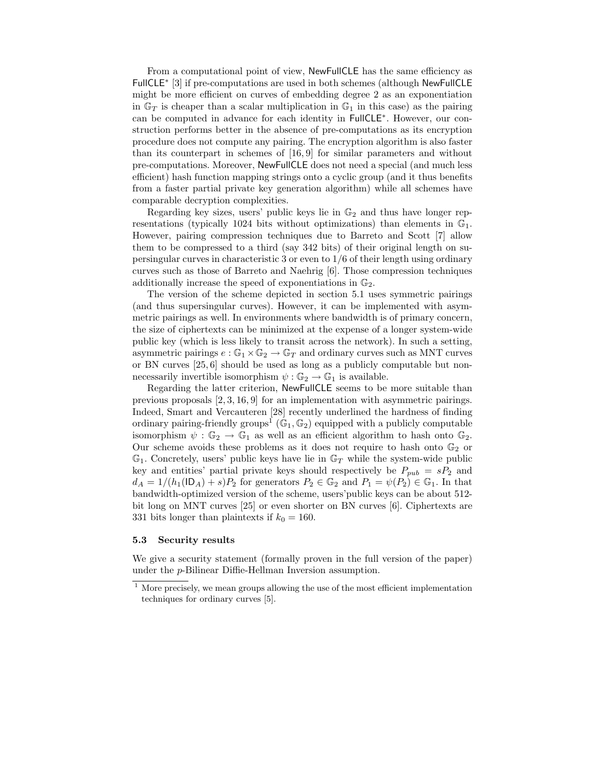From a computational point of view, NewFullCLE has the same efficiency as FullCLE<sup>∗</sup> [3] if pre-computations are used in both schemes (although NewFullCLE might be more efficient on curves of embedding degree 2 as an exponentiation in  $\mathbb{G}_T$  is cheaper than a scalar multiplication in  $\mathbb{G}_1$  in this case) as the pairing can be computed in advance for each identity in FullCLE<sup>∗</sup> . However, our construction performs better in the absence of pre-computations as its encryption procedure does not compute any pairing. The encryption algorithm is also faster than its counterpart in schemes of [16, 9] for similar parameters and without pre-computations. Moreover, NewFullCLE does not need a special (and much less efficient) hash function mapping strings onto a cyclic group (and it thus benefits from a faster partial private key generation algorithm) while all schemes have comparable decryption complexities.

Regarding key sizes, users' public keys lie in  $\mathbb{G}_2$  and thus have longer representations (typically 1024 bits without optimizations) than elements in  $\mathbb{G}_1$ . However, pairing compression techniques due to Barreto and Scott [7] allow them to be compressed to a third (say 342 bits) of their original length on supersingular curves in characteristic 3 or even to 1/6 of their length using ordinary curves such as those of Barreto and Naehrig [6]. Those compression techniques additionally increase the speed of exponentiations in  $\mathbb{G}_2$ .

The version of the scheme depicted in section 5.1 uses symmetric pairings (and thus supersingular curves). However, it can be implemented with asymmetric pairings as well. In environments where bandwidth is of primary concern, the size of ciphertexts can be minimized at the expense of a longer system-wide public key (which is less likely to transit across the network). In such a setting, asymmetric pairings  $e : \mathbb{G}_1 \times \mathbb{G}_2 \to \mathbb{G}_T$  and ordinary curves such as MNT curves or BN curves [25, 6] should be used as long as a publicly computable but nonnecessarily invertible isomorphism  $\psi : \mathbb{G}_2 \to \mathbb{G}_1$  is available.

Regarding the latter criterion, NewFullCLE seems to be more suitable than previous proposals [2, 3, 16, 9] for an implementation with asymmetric pairings. Indeed, Smart and Vercauteren [28] recently underlined the hardness of finding ordinary pairing-friendly groups<sup>1</sup> ( $\mathbb{G}_1$ ,  $\mathbb{G}_2$ ) equipped with a publicly computable isomorphism  $\psi : \mathbb{G}_2 \to \mathbb{G}_1$  as well as an efficient algorithm to hash onto  $\mathbb{G}_2$ . Our scheme avoids these problems as it does not require to hash onto  $\mathbb{G}_2$  or  $\mathbb{G}_1$ . Concretely, users' public keys have lie in  $\mathbb{G}_T$  while the system-wide public key and entities' partial private keys should respectively be  $P_{pub} = sP_2$  and  $d_A = 1/(h_1(\mathsf{ID}_A) + s)P_2$  for generators  $P_2 \in \mathbb{G}_2$  and  $P_1 = \psi(P_2) \in \mathbb{G}_1$ . In that bandwidth-optimized version of the scheme, users'public keys can be about 512 bit long on MNT curves [25] or even shorter on BN curves [6]. Ciphertexts are 331 bits longer than plaintexts if  $k_0 = 160$ .

#### 5.3 Security results

We give a security statement (formally proven in the full version of the paper) under the p-Bilinear Diffie-Hellman Inversion assumption.

 $1$  More precisely, we mean groups allowing the use of the most efficient implementation techniques for ordinary curves [5].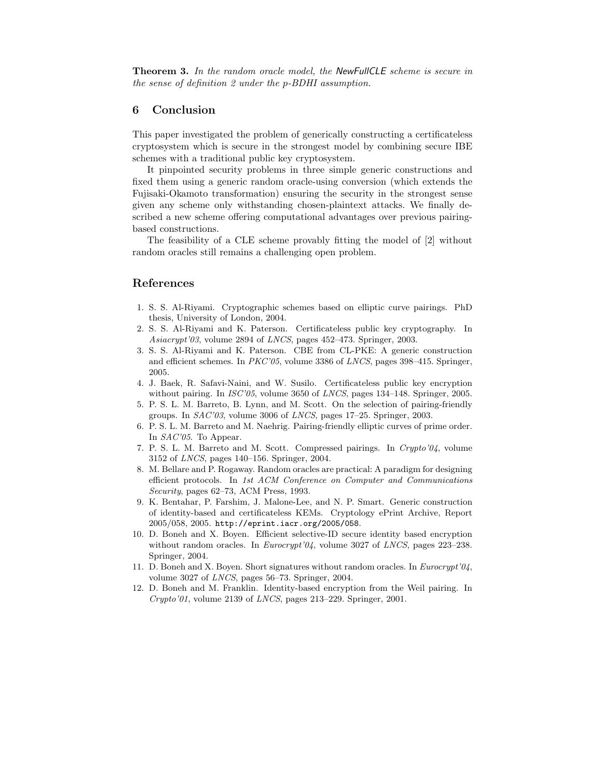Theorem 3. In the random oracle model, the NewFullCLE scheme is secure in the sense of definition 2 under the p-BDHI assumption.

## 6 Conclusion

This paper investigated the problem of generically constructing a certificateless cryptosystem which is secure in the strongest model by combining secure IBE schemes with a traditional public key cryptosystem.

It pinpointed security problems in three simple generic constructions and fixed them using a generic random oracle-using conversion (which extends the Fujisaki-Okamoto transformation) ensuring the security in the strongest sense given any scheme only withstanding chosen-plaintext attacks. We finally described a new scheme offering computational advantages over previous pairingbased constructions.

The feasibility of a CLE scheme provably fitting the model of [2] without random oracles still remains a challenging open problem.

## References

- 1. S. S. Al-Riyami. Cryptographic schemes based on elliptic curve pairings. PhD thesis, University of London, 2004.
- 2. S. S. Al-Riyami and K. Paterson. Certificateless public key cryptography. In Asiacrypt'03, volume 2894 of LNCS, pages 452–473. Springer, 2003.
- 3. S. S. Al-Riyami and K. Paterson. CBE from CL-PKE: A generic construction and efficient schemes. In PKC'05, volume 3386 of LNCS, pages 398–415. Springer, 2005.
- 4. J. Baek, R. Safavi-Naini, and W. Susilo. Certificateless public key encryption without pairing. In *ISC'05*, volume 3650 of *LNCS*, pages 134–148. Springer, 2005.
- 5. P. S. L. M. Barreto, B. Lynn, and M. Scott. On the selection of pairing-friendly groups. In SAC'03, volume 3006 of LNCS, pages 17–25. Springer, 2003.
- 6. P. S. L. M. Barreto and M. Naehrig. Pairing-friendly elliptic curves of prime order. In SAC'05. To Appear.
- 7. P. S. L. M. Barreto and M. Scott. Compressed pairings. In Crypto'04, volume 3152 of LNCS, pages 140–156. Springer, 2004.
- 8. M. Bellare and P. Rogaway. Random oracles are practical: A paradigm for designing efficient protocols. In 1st ACM Conference on Computer and Communications Security, pages 62–73, ACM Press, 1993.
- 9. K. Bentahar, P. Farshim, J. Malone-Lee, and N. P. Smart. Generic construction of identity-based and certificateless KEMs. Cryptology ePrint Archive, Report 2005/058, 2005. http://eprint.iacr.org/2005/058.
- 10. D. Boneh and X. Boyen. Efficient selective-ID secure identity based encryption without random oracles. In *Eurocrypt'04*, volume 3027 of *LNCS*, pages 223-238. Springer, 2004.
- 11. D. Boneh and X. Boyen. Short signatures without random oracles. In Eurocrypt'04, volume 3027 of LNCS, pages 56–73. Springer, 2004.
- 12. D. Boneh and M. Franklin. Identity-based encryption from the Weil pairing. In Crypto'01, volume 2139 of LNCS, pages 213–229. Springer, 2001.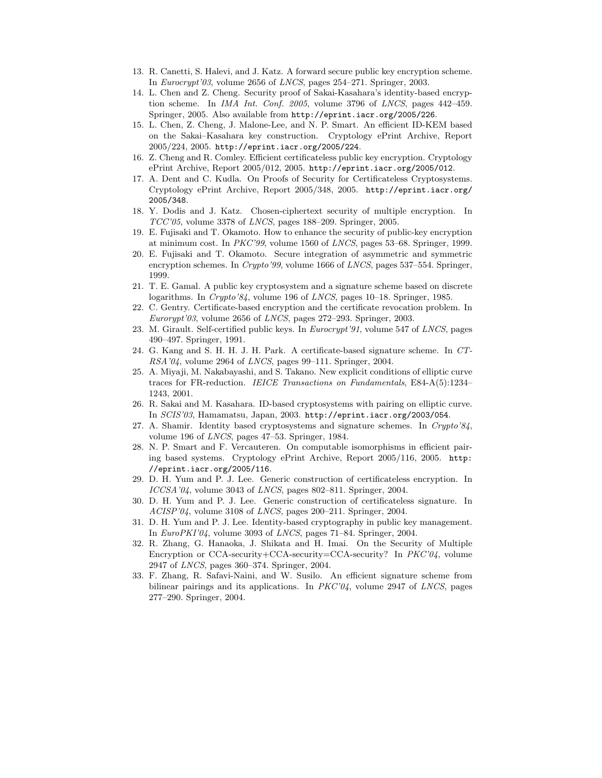- 13. R. Canetti, S. Halevi, and J. Katz. A forward secure public key encryption scheme. In Eurocrypt'03, volume 2656 of LNCS, pages 254–271. Springer, 2003.
- 14. L. Chen and Z. Cheng. Security proof of Sakai-Kasahara's identity-based encryption scheme. In IMA Int. Conf. 2005, volume 3796 of LNCS, pages 442–459. Springer, 2005. Also available from http://eprint.iacr.org/2005/226.
- 15. L. Chen, Z. Cheng, J. Malone-Lee, and N. P. Smart. An efficient ID-KEM based on the Sakai–Kasahara key construction. Cryptology ePrint Archive, Report 2005/224, 2005. http://eprint.iacr.org/2005/224.
- 16. Z. Cheng and R. Comley. Efficient certificateless public key encryption. Cryptology ePrint Archive, Report 2005/012, 2005. http://eprint.iacr.org/2005/012.
- 17. A. Dent and C. Kudla. On Proofs of Security for Certificateless Cryptosystems. Cryptology ePrint Archive, Report 2005/348, 2005. http://eprint.iacr.org/ 2005/348.
- 18. Y. Dodis and J. Katz. Chosen-ciphertext security of multiple encryption. In  $TCC'05$ , volume 3378 of *LNCS*, pages 188–209. Springer, 2005.
- 19. E. Fujisaki and T. Okamoto. How to enhance the security of public-key encryption at minimum cost. In PKC'99, volume 1560 of LNCS, pages 53–68. Springer, 1999.
- 20. E. Fujisaki and T. Okamoto. Secure integration of asymmetric and symmetric encryption schemes. In Crypto'99, volume 1666 of LNCS, pages 537–554. Springer, 1999.
- 21. T. E. Gamal. A public key cryptosystem and a signature scheme based on discrete logarithms. In Crypto'84, volume 196 of LNCS, pages 10–18. Springer, 1985.
- 22. C. Gentry. Certificate-based encryption and the certificate revocation problem. In  $Europeani'03$ , volume 2656 of  $LNCS$ , pages 272–293. Springer, 2003.
- 23. M. Girault. Self-certified public keys. In Eurocrypt'91, volume 547 of LNCS, pages 490–497. Springer, 1991.
- 24. G. Kang and S. H. H. J. H. Park. A certificate-based signature scheme. In CT-RSA'04, volume 2964 of LNCS, pages 99–111. Springer, 2004.
- 25. A. Miyaji, M. Nakabayashi, and S. Takano. New explicit conditions of elliptic curve traces for FR-reduction. IEICE Transactions on Fundamentals, E84-A(5):1234– 1243, 2001.
- 26. R. Sakai and M. Kasahara. ID-based cryptosystems with pairing on elliptic curve. In SCIS'03, Hamamatsu, Japan, 2003. http://eprint.iacr.org/2003/054.
- 27. A. Shamir. Identity based cryptosystems and signature schemes. In Crypto'84, volume 196 of LNCS, pages 47–53. Springer, 1984.
- 28. N. P. Smart and F. Vercauteren. On computable isomorphisms in efficient pairing based systems. Cryptology ePrint Archive, Report 2005/116, 2005. http: //eprint.iacr.org/2005/116.
- 29. D. H. Yum and P. J. Lee. Generic construction of certificateless encryption. In ICCSA'04, volume 3043 of LNCS, pages 802-811. Springer, 2004.
- 30. D. H. Yum and P. J. Lee. Generic construction of certificateless signature. In ACISP'04, volume 3108 of LNCS, pages 200–211. Springer, 2004.
- 31. D. H. Yum and P. J. Lee. Identity-based cryptography in public key management. In EuroPKI'04, volume 3093 of LNCS, pages 71–84. Springer, 2004.
- 32. R. Zhang, G. Hanaoka, J. Shikata and H. Imai. On the Security of Multiple Encryption or CCA-security+CCA-security=CCA-security? In PKC'04, volume 2947 of LNCS, pages 360–374. Springer, 2004.
- 33. F. Zhang, R. Safavi-Naini, and W. Susilo. An efficient signature scheme from bilinear pairings and its applications. In  $PKC'04$ , volume 2947 of LNCS, pages 277–290. Springer, 2004.